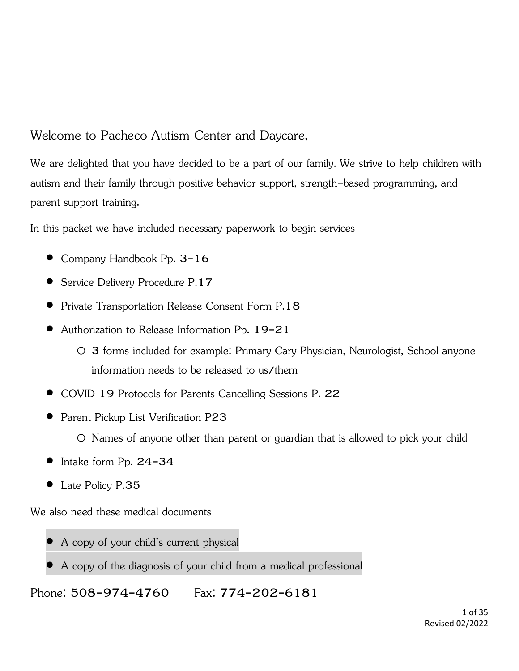Welcome to Pacheco Autism Center and Daycare,

We are delighted that you have decided to be a part of our family. We strive to help children with autism and their family through positive behavior support, strength-based programming, and parent support training.

In this packet we have included necessary paperwork to begin services

- Company Handbook Pp. 3-16
- Service Delivery Procedure P.17
- Private Transportation Release Consent Form P.18
- Authorization to Release Information Pp. 19-21
	- o 3 forms included for example: Primary Cary Physician, Neurologist, School anyone information needs to be released to us/them
- COVID 19 Protocols for Parents Cancelling Sessions P. 22
- Parent Pickup List Verification P23

o Names of anyone other than parent or guardian that is allowed to pick your child

- Intake form Pp. 24-34
- Late Policy P.35

We also need these medical documents

- A copy of your child's current physical
- A copy of the diagnosis of your child from a medical professional

Phone: 508-974-4760 Fax: 774-202-6181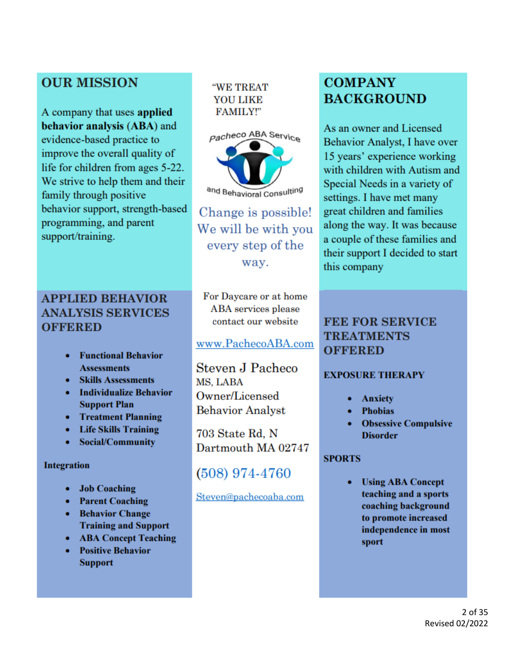# **OUR MISSION**

A company that uses applied behavior analysis (ABA) and evidence-based practice to improve the overall quality of life for children from ages 5-22. We strive to help them and their family through positive behavior support, strength-based programming, and parent support/training.

# **APPLIED BEHAVIOR ANALYSIS SERVICES OFFERED**

- **Functional Behavior Assessments**
- Skills Assessments
- Individualize Behavior **Support Plan**
- Treatment Planning
- Life Skills Training
- Social/Community

#### **Integration**

- **Job Coaching**  $\bullet$
- Parent Coaching
- Behavior Change **Training and Support**
- ABA Concept Teaching
- $\bullet$ **Positive Behavior Support**

"WE TREAT **YOU LIKE FAMILY!"** 



Change is possible! We will be with you every step of the way.

For Daycare or at home **ABA** services please contact our website

### www.PachecoABA.com

**Steven J Pacheco** MS. LABA Owner/Licensed **Behavior Analyst** 

703 State Rd, N Dartmouth MA 02747

# (508) 974-4760

#### Steven@pachecoaba.com

# **COMPANY BACKGROUND**

As an owner and Licensed Behavior Analyst, I have over 15 years' experience working with children with Autism and Special Needs in a variety of settings. I have met many great children and families along the way. It was because a couple of these families and their support I decided to start this company

### **FEE FOR SERVICE TREATMENTS OFFERED**

### **EXPOSURE THERAPY**

- **Anxiety**
- **Phobias**
- **Obsessive Compulsive Disorder**

### **SPORTS**

**Using ABA Concept** teaching and a sports coaching background to promote increased independence in most sport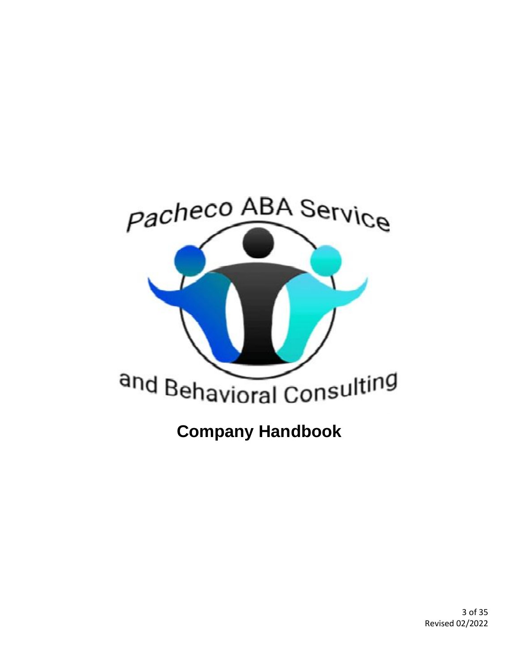

3 of 35 Revised 02/2022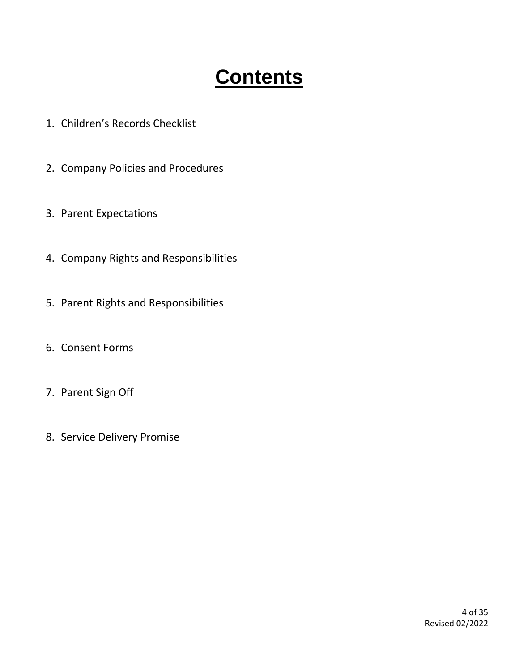# **Contents**

- 1. Children's Records Checklist
- 2. Company Policies and Procedures
- 3. Parent Expectations
- 4. Company Rights and Responsibilities
- 5. Parent Rights and Responsibilities
- 6. Consent Forms
- 7. Parent Sign Off
- 8. Service Delivery Promise

4 of 35 Revised 02/2022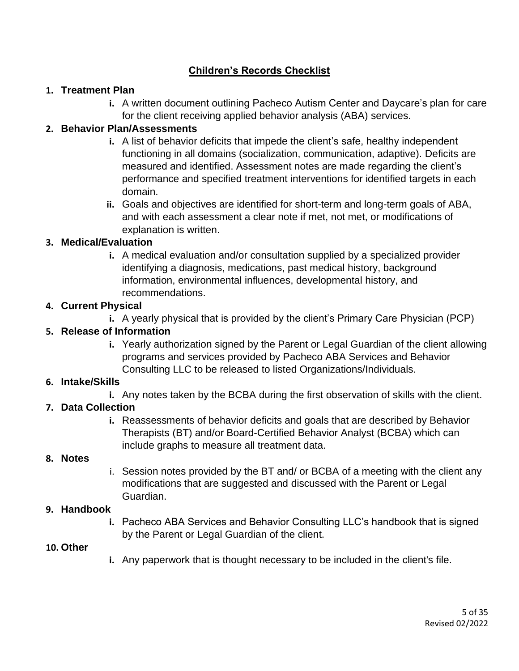#### **Children's Records Checklist**

#### **1. Treatment Plan**

**i.** A written document outlining Pacheco Autism Center and Daycare's plan for care for the client receiving applied behavior analysis (ABA) services.

#### **2. Behavior Plan/Assessments**

- **i.** A list of behavior deficits that impede the client's safe, healthy independent functioning in all domains (socialization, communication, adaptive). Deficits are measured and identified. Assessment notes are made regarding the client's performance and specified treatment interventions for identified targets in each domain.
- **ii.** Goals and objectives are identified for short-term and long-term goals of ABA, and with each assessment a clear note if met, not met, or modifications of explanation is written.

#### **3. Medical/Evaluation**

**i.** A medical evaluation and/or consultation supplied by a specialized provider identifying a diagnosis, medications, past medical history, background information, environmental influences, developmental history, and recommendations.

#### **4. Current Physical**

**i.** A yearly physical that is provided by the client's Primary Care Physician (PCP)

#### **5. Release of Information**

**i.** Yearly authorization signed by the Parent or Legal Guardian of the client allowing programs and services provided by Pacheco ABA Services and Behavior Consulting LLC to be released to listed Organizations/Individuals.

#### **6. Intake/Skills**

**i.** Any notes taken by the BCBA during the first observation of skills with the client.

#### **7. Data Collection**

**i.** Reassessments of behavior deficits and goals that are described by Behavior Therapists (BT) and/or Board-Certified Behavior Analyst (BCBA) which can include graphs to measure all treatment data.

#### **8. Notes**

i. Session notes provided by the BT and/ or BCBA of a meeting with the client any modifications that are suggested and discussed with the Parent or Legal Guardian.

#### **9. Handbook**

**i.** Pacheco ABA Services and Behavior Consulting LLC's handbook that is signed by the Parent or Legal Guardian of the client.

#### **10. Other**

**i.** Any paperwork that is thought necessary to be included in the client's file.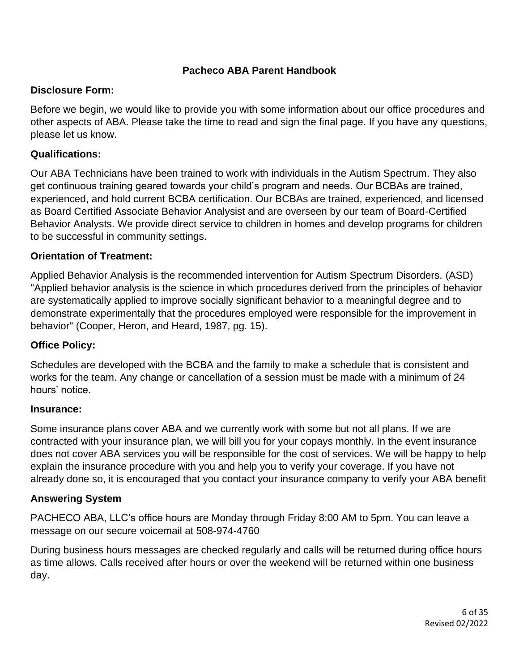#### **Pacheco ABA Parent Handbook**

#### **Disclosure Form:**

Before we begin, we would like to provide you with some information about our office procedures and other aspects of ABA. Please take the time to read and sign the final page. If you have any questions, please let us know.

#### **Qualifications:**

Our ABA Technicians have been trained to work with individuals in the Autism Spectrum. They also get continuous training geared towards your child's program and needs. Our BCBAs are trained, experienced, and hold current BCBA certification. Our BCBAs are trained, experienced, and licensed as Board Certified Associate Behavior Analysist and are overseen by our team of Board-Certified Behavior Analysts. We provide direct service to children in homes and develop programs for children to be successful in community settings.

#### **Orientation of Treatment:**

Applied Behavior Analysis is the recommended intervention for Autism Spectrum Disorders. (ASD) "Applied behavior analysis is the science in which procedures derived from the principles of behavior are systematically applied to improve socially significant behavior to a meaningful degree and to demonstrate experimentally that the procedures employed were responsible for the improvement in behavior" (Cooper, Heron, and Heard, 1987, pg. 15).

#### **Office Policy:**

Schedules are developed with the BCBA and the family to make a schedule that is consistent and works for the team. Any change or cancellation of a session must be made with a minimum of 24 hours' notice.

#### **Insurance:**

Some insurance plans cover ABA and we currently work with some but not all plans. If we are contracted with your insurance plan, we will bill you for your copays monthly. In the event insurance does not cover ABA services you will be responsible for the cost of services. We will be happy to help explain the insurance procedure with you and help you to verify your coverage. If you have not already done so, it is encouraged that you contact your insurance company to verify your ABA benefit

#### **Answering System**

PACHECO ABA, LLC's office hours are Monday through Friday 8:00 AM to 5pm. You can leave a message on our secure voicemail at 508-974-4760

During business hours messages are checked regularly and calls will be returned during office hours as time allows. Calls received after hours or over the weekend will be returned within one business day.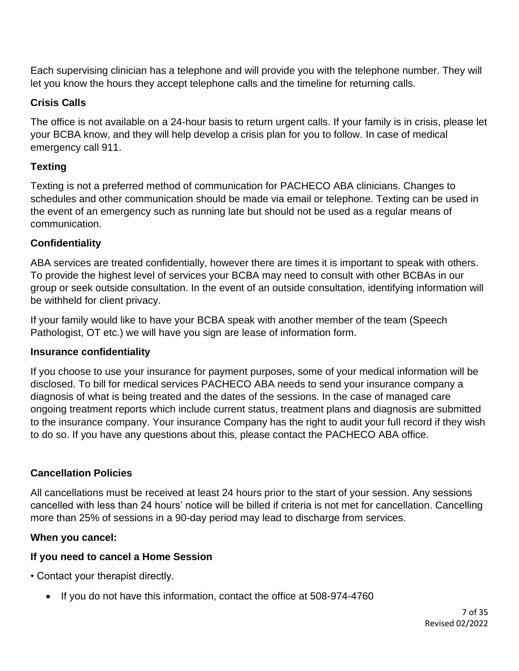Each supervising clinician has a telephone and will provide you with the telephone number. They will let you know the hours they accept telephone calls and the timeline for returning calls.

#### **Crisis Calls**

The office is not available on a 24-hour basis to return urgent calls. If your family is in crisis, please let your BCBA know, and they will help develop a crisis plan for you to follow. In case of medical emergency call 911.

### **Texting**

Texting is not a preferred method of communication for PACHECO ABA clinicians. Changes to schedules and other communication should be made via email or telephone. Texting can be used in the event of an emergency such as running late but should not be used as a regular means of communication.

### **Confidentiality**

ABA services are treated confidentially, however there are times it is important to speak with others. To provide the highest level of services your BCBA may need to consult with other BCBAs in our group or seek outside consultation. In the event of an outside consultation, identifying information will be withheld for client privacy.

If your family would like to have your BCBA speak with another member of the team (Speech Pathologist, OT etc.) we will have you sign are lease of information form.

#### **Insurance confidentiality**

If you choose to use your insurance for payment purposes, some of your medical information will be disclosed. To bill for medical services PACHECO ABA needs to send your insurance company a diagnosis of what is being treated and the dates of the sessions. In the case of managed care ongoing treatment reports which include current status, treatment plans and diagnosis are submitted to the insurance company. Your insurance Company has the right to audit your full record if they wish to do so. If you have any questions about this, please contact the PACHECO ABA office.

#### **Cancellation Policies**

All cancellations must be received at least 24 hours prior to the start of your session. Any sessions cancelled with less than 24 hours' notice will be billed if criteria is not met for cancellation. Cancelling more than 25% of sessions in a 90-day period may lead to discharge from services.

#### **When you cancel:**

#### **If you need to cancel a Home Session**

• Contact your therapist directly.

• If you do not have this information, contact the office at 508-974-4760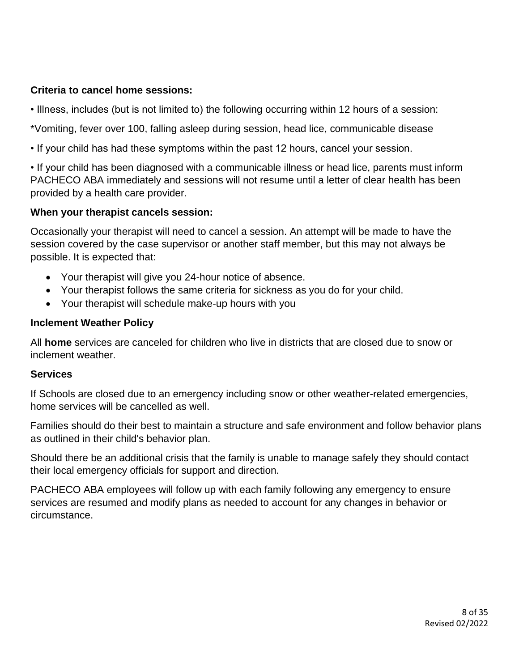#### **Criteria to cancel home sessions:**

- Illness, includes (but is not limited to) the following occurring within 12 hours of a session:
- \*Vomiting, fever over 100, falling asleep during session, head lice, communicable disease
- If your child has had these symptoms within the past 12 hours, cancel your session.

• If your child has been diagnosed with a communicable illness or head lice, parents must inform PACHECO ABA immediately and sessions will not resume until a letter of clear health has been provided by a health care provider.

#### **When your therapist cancels session:**

Occasionally your therapist will need to cancel a session. An attempt will be made to have the session covered by the case supervisor or another staff member, but this may not always be possible. It is expected that:

- Your therapist will give you 24-hour notice of absence.
- Your therapist follows the same criteria for sickness as you do for your child.
- Your therapist will schedule make-up hours with you

#### **Inclement Weather Policy**

All **home** services are canceled for children who live in districts that are closed due to snow or inclement weather.

#### **Services**

If Schools are closed due to an emergency including snow or other weather-related emergencies, home services will be cancelled as well.

Families should do their best to maintain a structure and safe environment and follow behavior plans as outlined in their child's behavior plan.

Should there be an additional crisis that the family is unable to manage safely they should contact their local emergency officials for support and direction.

PACHECO ABA employees will follow up with each family following any emergency to ensure services are resumed and modify plans as needed to account for any changes in behavior or circumstance.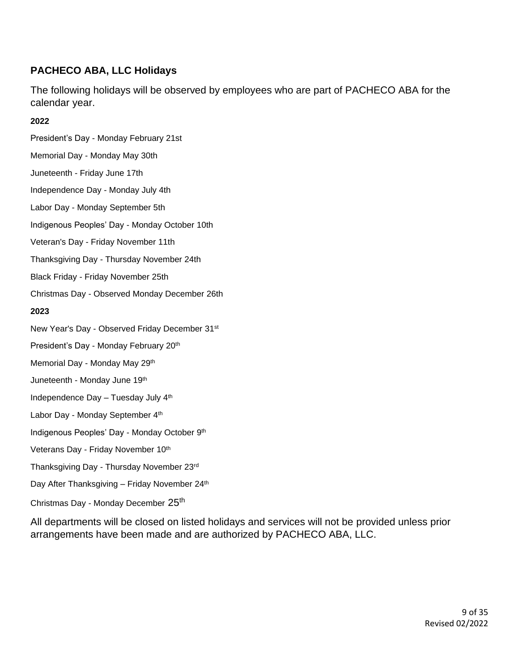### **PACHECO ABA, LLC Holidays**

The following holidays will be observed by employees who are part of PACHECO ABA for the calendar year.

#### **2022**

- President's Day Monday February 21st Memorial Day - Monday May 30th Juneteenth - Friday June 17th Independence Day - Monday July 4th Labor Day - Monday September 5th Indigenous Peoples' Day - Monday October 10th Veteran's Day - Friday November 11th Thanksgiving Day - Thursday November 24th Black Friday - Friday November 25th Christmas Day - Observed Monday December 26th **2023** New Year's Day - Observed Friday December 31st President's Day - Monday February 20<sup>th</sup> Memorial Day - Monday May 29th Juneteenth - Monday June 19<sup>th</sup> Independence Day – Tuesday July 4th Labor Day - Monday September 4<sup>th</sup> Indigenous Peoples' Day - Monday October 9th Veterans Day - Friday November 10th
- Thanksgiving Day Thursday November 23rd
- Day After Thanksgiving Friday November 24<sup>th</sup>
- Christmas Day Monday December 25th

All departments will be closed on listed holidays and services will not be provided unless prior arrangements have been made and are authorized by PACHECO ABA, LLC.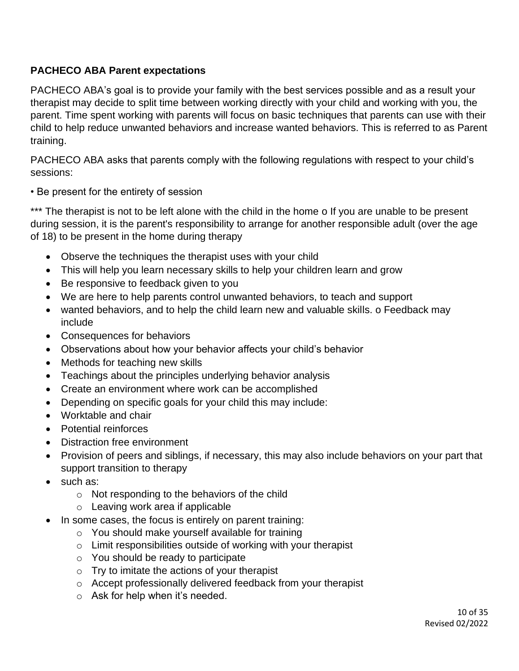#### **PACHECO ABA Parent expectations**

PACHECO ABA's goal is to provide your family with the best services possible and as a result your therapist may decide to split time between working directly with your child and working with you, the parent. Time spent working with parents will focus on basic techniques that parents can use with their child to help reduce unwanted behaviors and increase wanted behaviors. This is referred to as Parent training.

PACHECO ABA asks that parents comply with the following regulations with respect to your child's sessions:

#### • Be present for the entirety of session

\*\*\* The therapist is not to be left alone with the child in the home o If you are unable to be present during session, it is the parent's responsibility to arrange for another responsible adult (over the age of 18) to be present in the home during therapy

- Observe the techniques the therapist uses with your child
- This will help you learn necessary skills to help your children learn and grow
- Be responsive to feedback given to you
- We are here to help parents control unwanted behaviors, to teach and support
- wanted behaviors, and to help the child learn new and valuable skills. o Feedback may include
- Consequences for behaviors
- Observations about how your behavior affects your child's behavior
- Methods for teaching new skills
- Teachings about the principles underlying behavior analysis
- Create an environment where work can be accomplished
- Depending on specific goals for your child this may include:
- Worktable and chair
- Potential reinforces
- Distraction free environment
- Provision of peers and siblings, if necessary, this may also include behaviors on your part that support transition to therapy
- such as:
	- o Not responding to the behaviors of the child
	- o Leaving work area if applicable
- In some cases, the focus is entirely on parent training:
	- o You should make yourself available for training
	- o Limit responsibilities outside of working with your therapist
	- o You should be ready to participate
	- o Try to imitate the actions of your therapist
	- o Accept professionally delivered feedback from your therapist
	- $\circ$  Ask for help when it's needed.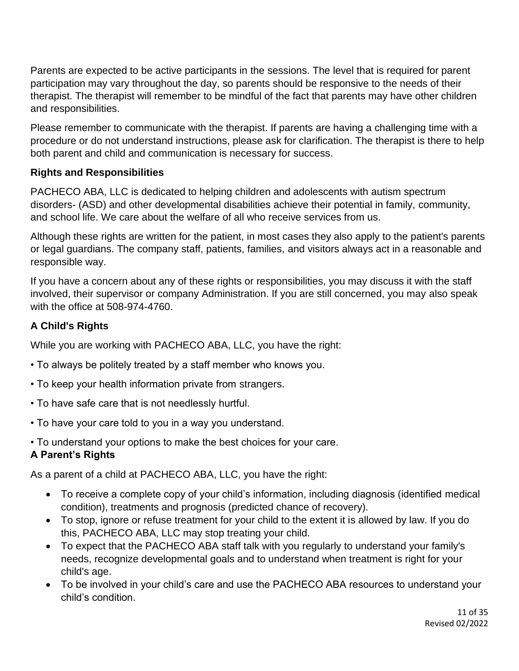Parents are expected to be active participants in the sessions. The level that is required for parent participation may vary throughout the day, so parents should be responsive to the needs of their therapist. The therapist will remember to be mindful of the fact that parents may have other children and responsibilities.

Please remember to communicate with the therapist. If parents are having a challenging time with a procedure or do not understand instructions, please ask for clarification. The therapist is there to help both parent and child and communication is necessary for success.

#### **Rights and Responsibilities**

PACHECO ABA, LLC is dedicated to helping children and adolescents with autism spectrum disorders- (ASD) and other developmental disabilities achieve their potential in family, community, and school life. We care about the welfare of all who receive services from us.

Although these rights are written for the patient, in most cases they also apply to the patient's parents or legal guardians. The company staff, patients, families, and visitors always act in a reasonable and responsible way.

If you have a concern about any of these rights or responsibilities, you may discuss it with the staff involved, their supervisor or company Administration. If you are still concerned, you may also speak with the office at 508-974-4760.

### **A Child's Rights**

While you are working with PACHECO ABA, LLC, you have the right:

- To always be politely treated by a staff member who knows you.
- To keep your health information private from strangers.
- To have safe care that is not needlessly hurtful.
- To have your care told to you in a way you understand.
- To understand your options to make the best choices for your care.

### **A Parent's Rights**

As a parent of a child at PACHECO ABA, LLC, you have the right:

- To receive a complete copy of your child's information, including diagnosis (identified medical condition), treatments and prognosis (predicted chance of recovery).
- To stop, ignore or refuse treatment for your child to the extent it is allowed by law. If you do this, PACHECO ABA, LLC may stop treating your child.
- To expect that the PACHECO ABA staff talk with you regularly to understand your family's needs, recognize developmental goals and to understand when treatment is right for your child's age.
- To be involved in your child's care and use the PACHECO ABA resources to understand your child's condition.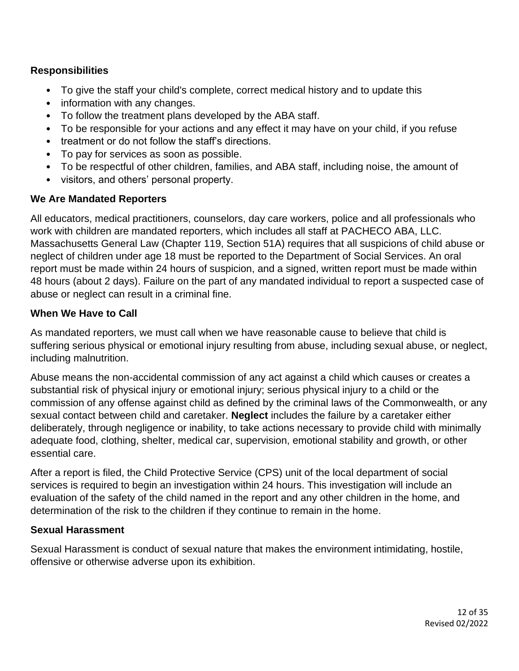#### **Responsibilities**

- To give the staff your child's complete, correct medical history and to update this
- information with any changes.
- To follow the treatment plans developed by the ABA staff.
- To be responsible for your actions and any effect it may have on your child, if you refuse
- treatment or do not follow the staff's directions.
- To pay for services as soon as possible.
- To be respectful of other children, families, and ABA staff, including noise, the amount of
- visitors, and others' personal property.

#### **We Are Mandated Reporters**

All educators, medical practitioners, counselors, day care workers, police and all professionals who work with children are mandated reporters, which includes all staff at PACHECO ABA, LLC. Massachusetts General Law (Chapter 119, Section 51A) requires that all suspicions of child abuse or neglect of children under age 18 must be reported to the Department of Social Services. An oral report must be made within 24 hours of suspicion, and a signed, written report must be made within 48 hours (about 2 days). Failure on the part of any mandated individual to report a suspected case of abuse or neglect can result in a criminal fine.

#### **When We Have to Call**

As mandated reporters, we must call when we have reasonable cause to believe that child is suffering serious physical or emotional injury resulting from abuse, including sexual abuse, or neglect, including malnutrition.

Abuse means the non-accidental commission of any act against a child which causes or creates a substantial risk of physical injury or emotional injury; serious physical injury to a child or the commission of any offense against child as defined by the criminal laws of the Commonwealth, or any sexual contact between child and caretaker. **Neglect** includes the failure by a caretaker either deliberately, through negligence or inability, to take actions necessary to provide child with minimally adequate food, clothing, shelter, medical car, supervision, emotional stability and growth, or other essential care.

After a report is filed, the Child Protective Service (CPS) unit of the local department of social services is required to begin an investigation within 24 hours. This investigation will include an evaluation of the safety of the child named in the report and any other children in the home, and determination of the risk to the children if they continue to remain in the home.

#### **Sexual Harassment**

Sexual Harassment is conduct of sexual nature that makes the environment intimidating, hostile, offensive or otherwise adverse upon its exhibition.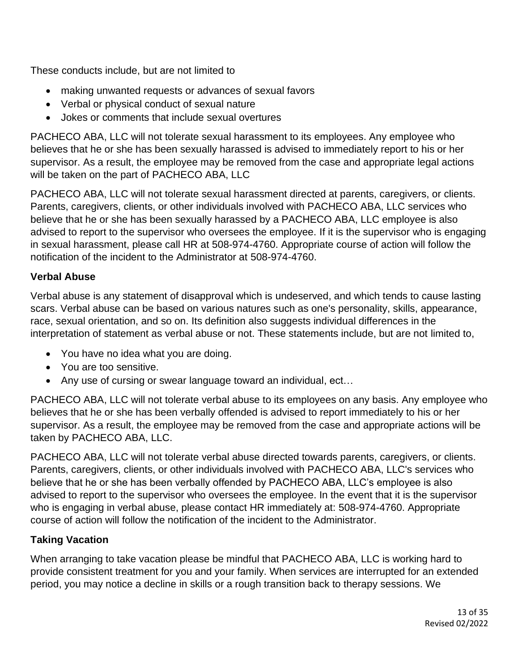These conducts include, but are not limited to

- making unwanted requests or advances of sexual favors
- Verbal or physical conduct of sexual nature
- Jokes or comments that include sexual overtures

PACHECO ABA, LLC will not tolerate sexual harassment to its employees. Any employee who believes that he or she has been sexually harassed is advised to immediately report to his or her supervisor. As a result, the employee may be removed from the case and appropriate legal actions will be taken on the part of PACHECO ABA, LLC

PACHECO ABA, LLC will not tolerate sexual harassment directed at parents, caregivers, or clients. Parents, caregivers, clients, or other individuals involved with PACHECO ABA, LLC services who believe that he or she has been sexually harassed by a PACHECO ABA, LLC employee is also advised to report to the supervisor who oversees the employee. If it is the supervisor who is engaging in sexual harassment, please call HR at 508-974-4760. Appropriate course of action will follow the notification of the incident to the Administrator at 508-974-4760.

#### **Verbal Abuse**

Verbal abuse is any statement of disapproval which is undeserved, and which tends to cause lasting scars. Verbal abuse can be based on various natures such as one's personality, skills, appearance, race, sexual orientation, and so on. Its definition also suggests individual differences in the interpretation of statement as verbal abuse or not. These statements include, but are not limited to,

- You have no idea what you are doing.
- You are too sensitive.
- Any use of cursing or swear language toward an individual, ect…

PACHECO ABA, LLC will not tolerate verbal abuse to its employees on any basis. Any employee who believes that he or she has been verbally offended is advised to report immediately to his or her supervisor. As a result, the employee may be removed from the case and appropriate actions will be taken by PACHECO ABA, LLC.

PACHECO ABA, LLC will not tolerate verbal abuse directed towards parents, caregivers, or clients. Parents, caregivers, clients, or other individuals involved with PACHECO ABA, LLC's services who believe that he or she has been verbally offended by PACHECO ABA, LLC's employee is also advised to report to the supervisor who oversees the employee. In the event that it is the supervisor who is engaging in verbal abuse, please contact HR immediately at: 508-974-4760. Appropriate course of action will follow the notification of the incident to the Administrator.

### **Taking Vacation**

When arranging to take vacation please be mindful that PACHECO ABA, LLC is working hard to provide consistent treatment for you and your family. When services are interrupted for an extended period, you may notice a decline in skills or a rough transition back to therapy sessions. We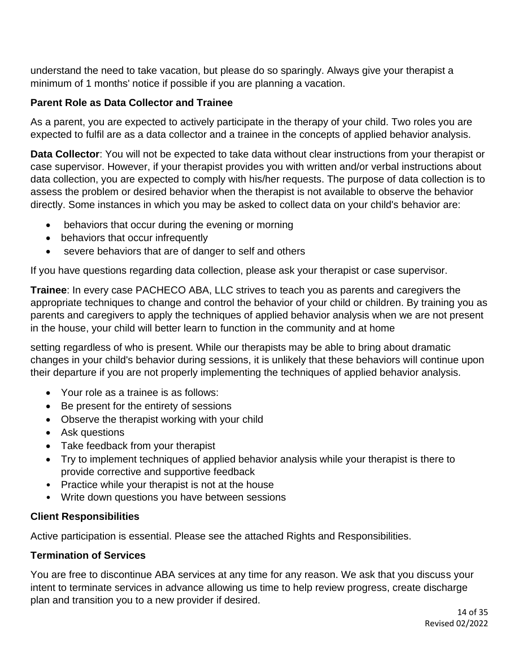understand the need to take vacation, but please do so sparingly. Always give your therapist a minimum of 1 months' notice if possible if you are planning a vacation.

#### **Parent Role as Data Collector and Trainee**

As a parent, you are expected to actively participate in the therapy of your child. Two roles you are expected to fulfil are as a data collector and a trainee in the concepts of applied behavior analysis.

**Data Collector**: You will not be expected to take data without clear instructions from your therapist or case supervisor. However, if your therapist provides you with written and/or verbal instructions about data collection, you are expected to comply with his/her requests. The purpose of data collection is to assess the problem or desired behavior when the therapist is not available to observe the behavior directly. Some instances in which you may be asked to collect data on your child's behavior are:

- behaviors that occur during the evening or morning
- behaviors that occur infrequently
- severe behaviors that are of danger to self and others

If you have questions regarding data collection, please ask your therapist or case supervisor.

**Trainee**: In every case PACHECO ABA, LLC strives to teach you as parents and caregivers the appropriate techniques to change and control the behavior of your child or children. By training you as parents and caregivers to apply the techniques of applied behavior analysis when we are not present in the house, your child will better learn to function in the community and at home

setting regardless of who is present. While our therapists may be able to bring about dramatic changes in your child's behavior during sessions, it is unlikely that these behaviors will continue upon their departure if you are not properly implementing the techniques of applied behavior analysis.

- Your role as a trainee is as follows:
- Be present for the entirety of sessions
- Observe the therapist working with your child
- Ask questions
- Take feedback from your therapist
- Try to implement techniques of applied behavior analysis while your therapist is there to provide corrective and supportive feedback
- Practice while your therapist is not at the house
- Write down questions you have between sessions

#### **Client Responsibilities**

Active participation is essential. Please see the attached Rights and Responsibilities.

#### **Termination of Services**

You are free to discontinue ABA services at any time for any reason. We ask that you discuss your intent to terminate services in advance allowing us time to help review progress, create discharge plan and transition you to a new provider if desired.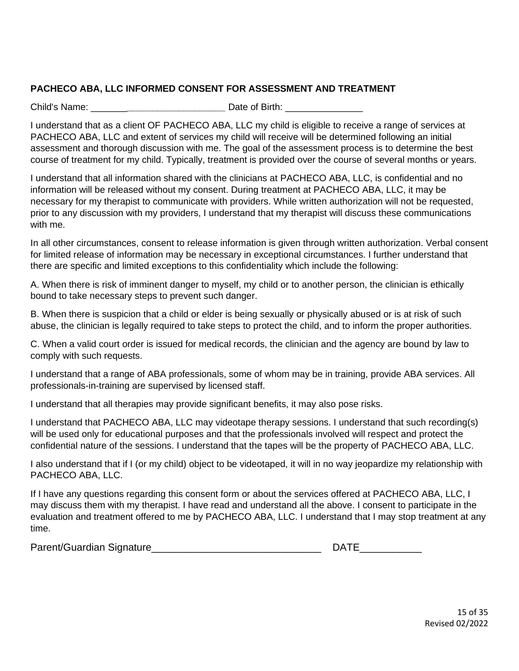#### **PACHECO ABA, LLC INFORMED CONSENT FOR ASSESSMENT AND TREATMENT**

Child's Name: **Example 20** Date of Birth:

I understand that as a client OF PACHECO ABA, LLC my child is eligible to receive a range of services at PACHECO ABA, LLC and extent of services my child will receive will be determined following an initial assessment and thorough discussion with me. The goal of the assessment process is to determine the best course of treatment for my child. Typically, treatment is provided over the course of several months or years.

I understand that all information shared with the clinicians at PACHECO ABA, LLC, is confidential and no information will be released without my consent. During treatment at PACHECO ABA, LLC, it may be necessary for my therapist to communicate with providers. While written authorization will not be requested, prior to any discussion with my providers, I understand that my therapist will discuss these communications with me.

In all other circumstances, consent to release information is given through written authorization. Verbal consent for limited release of information may be necessary in exceptional circumstances. I further understand that there are specific and limited exceptions to this confidentiality which include the following:

A. When there is risk of imminent danger to myself, my child or to another person, the clinician is ethically bound to take necessary steps to prevent such danger.

B. When there is suspicion that a child or elder is being sexually or physically abused or is at risk of such abuse, the clinician is legally required to take steps to protect the child, and to inform the proper authorities.

C. When a valid court order is issued for medical records, the clinician and the agency are bound by law to comply with such requests.

I understand that a range of ABA professionals, some of whom may be in training, provide ABA services. All professionals-in-training are supervised by licensed staff.

I understand that all therapies may provide significant benefits, it may also pose risks.

I understand that PACHECO ABA, LLC may videotape therapy sessions. I understand that such recording(s) will be used only for educational purposes and that the professionals involved will respect and protect the confidential nature of the sessions. I understand that the tapes will be the property of PACHECO ABA, LLC.

I also understand that if I (or my child) object to be videotaped, it will in no way jeopardize my relationship with PACHECO ABA, LLC.

If I have any questions regarding this consent form or about the services offered at PACHECO ABA, LLC, I may discuss them with my therapist. I have read and understand all the above. I consent to participate in the evaluation and treatment offered to me by PACHECO ABA, LLC. I understand that I may stop treatment at any time.

Parent/Guardian Signature\_\_\_\_\_\_\_\_\_\_\_\_\_\_\_\_\_\_\_\_\_\_\_\_\_\_\_\_\_\_ DATE\_\_\_\_\_\_\_\_\_\_\_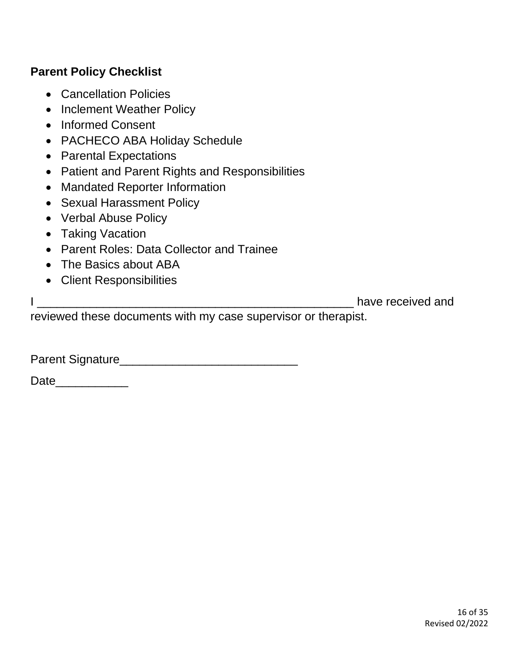# **Parent Policy Checklist**

- Cancellation Policies
- Inclement Weather Policy
- Informed Consent
- PACHECO ABA Holiday Schedule
- Parental Expectations
- Patient and Parent Rights and Responsibilities
- Mandated Reporter Information
- Sexual Harassment Policy
- Verbal Abuse Policy
- Taking Vacation
- Parent Roles: Data Collector and Trainee
- The Basics about ABA
- Client Responsibilities

I \_\_\_\_\_\_\_\_\_\_\_\_\_\_\_\_\_\_\_\_\_\_\_\_\_\_\_\_\_\_\_\_\_\_\_\_\_\_\_\_\_\_\_\_\_\_\_\_ have received and

reviewed these documents with my case supervisor or therapist.

Parent Signature\_\_\_\_\_\_\_\_\_\_\_\_\_\_\_\_\_\_\_\_\_\_\_\_\_\_\_

Date\_\_\_\_\_\_\_\_\_\_\_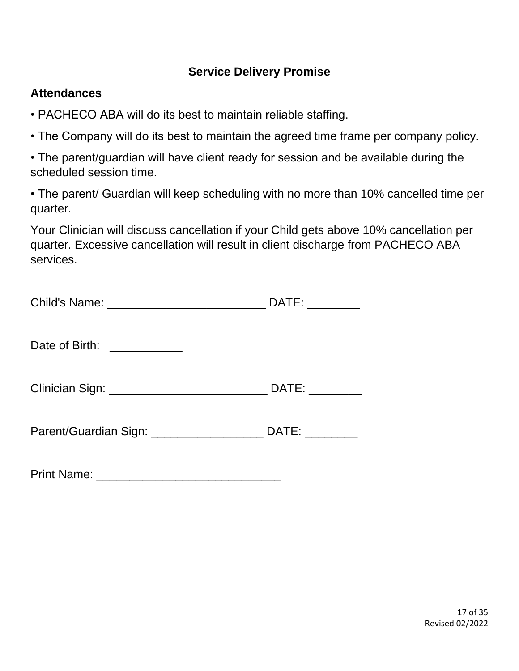# **Service Delivery Promise**

### **Attendances**

- PACHECO ABA will do its best to maintain reliable staffing.
- The Company will do its best to maintain the agreed time frame per company policy.

• The parent/guardian will have client ready for session and be available during the scheduled session time.

• The parent/ Guardian will keep scheduling with no more than 10% cancelled time per quarter.

Your Clinician will discuss cancellation if your Child gets above 10% cancellation per quarter. Excessive cancellation will result in client discharge from PACHECO ABA services.

|                                                                                  | DATE: _________ |
|----------------------------------------------------------------------------------|-----------------|
| Date of Birth: ____________                                                      |                 |
|                                                                                  |                 |
| Parent/Guardian Sign: _________________________________DATE: ___________________ |                 |

Print Name: \_\_\_\_\_\_\_\_\_\_\_\_\_\_\_\_\_\_\_\_\_\_\_\_\_\_\_\_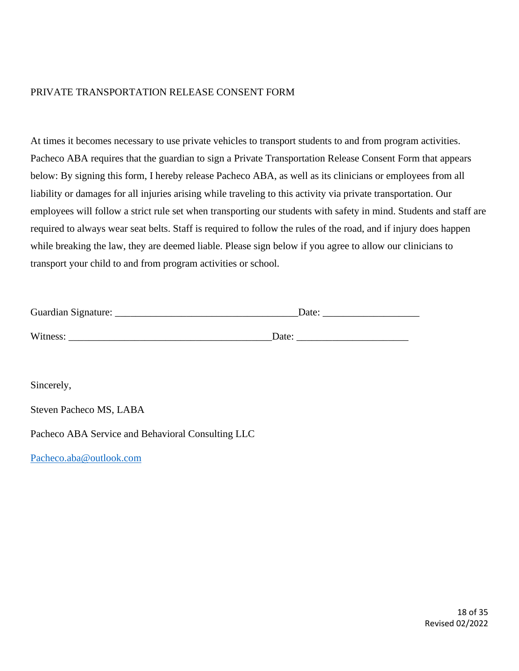#### PRIVATE TRANSPORTATION RELEASE CONSENT FORM

At times it becomes necessary to use private vehicles to transport students to and from program activities. Pacheco ABA requires that the guardian to sign a Private Transportation Release Consent Form that appears below: By signing this form, I hereby release Pacheco ABA, as well as its clinicians or employees from all liability or damages for all injuries arising while traveling to this activity via private transportation. Our employees will follow a strict rule set when transporting our students with safety in mind. Students and staff are required to always wear seat belts. Staff is required to follow the rules of the road, and if injury does happen while breaking the law, they are deemed liable. Please sign below if you agree to allow our clinicians to transport your child to and from program activities or school.

| Guardian Signature: | Date: |
|---------------------|-------|
|                     |       |
| Witness:            | Date: |

Sincerely,

Steven Pacheco MS, LABA

Pacheco ABA Service and Behavioral Consulting LLC

[Pacheco.aba@outlook.com](mailto:Pacheco.aba@outlook.com)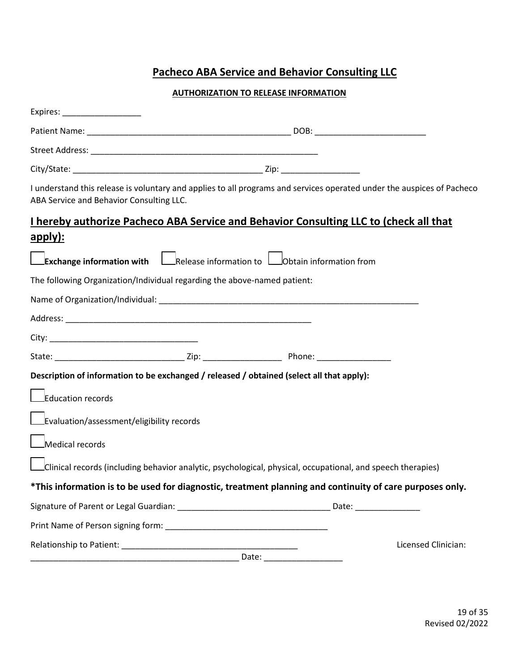# **Pacheco ABA Service and Behavior Consulting LLC**

#### **AUTHORIZATION TO RELEASE INFORMATION**

| ABA Service and Behavior Consulting LLC.                                                      | I understand this release is voluntary and applies to all programs and services operated under the auspices of Pacheco |  |
|-----------------------------------------------------------------------------------------------|------------------------------------------------------------------------------------------------------------------------|--|
|                                                                                               | I hereby authorize Pacheco ABA Service and Behavior Consulting LLC to (check all that                                  |  |
| apply):                                                                                       |                                                                                                                        |  |
| <b>Exchange information with</b> $\Box$ Release information to $\Box$ Obtain information from |                                                                                                                        |  |
| The following Organization/Individual regarding the above-named patient:                      |                                                                                                                        |  |
|                                                                                               |                                                                                                                        |  |
|                                                                                               |                                                                                                                        |  |
|                                                                                               |                                                                                                                        |  |
|                                                                                               |                                                                                                                        |  |
| Description of information to be exchanged / released / obtained (select all that apply):     |                                                                                                                        |  |
| Education records                                                                             |                                                                                                                        |  |
| Evaluation/assessment/eligibility records                                                     |                                                                                                                        |  |
| Medical records                                                                               |                                                                                                                        |  |
|                                                                                               | Clinical records (including behavior analytic, psychological, physical, occupational, and speech therapies)            |  |
|                                                                                               | *This information is to be used for diagnostic, treatment planning and continuity of care purposes only.               |  |
|                                                                                               |                                                                                                                        |  |
|                                                                                               |                                                                                                                        |  |
|                                                                                               | Licensed Clinician:                                                                                                    |  |
|                                                                                               |                                                                                                                        |  |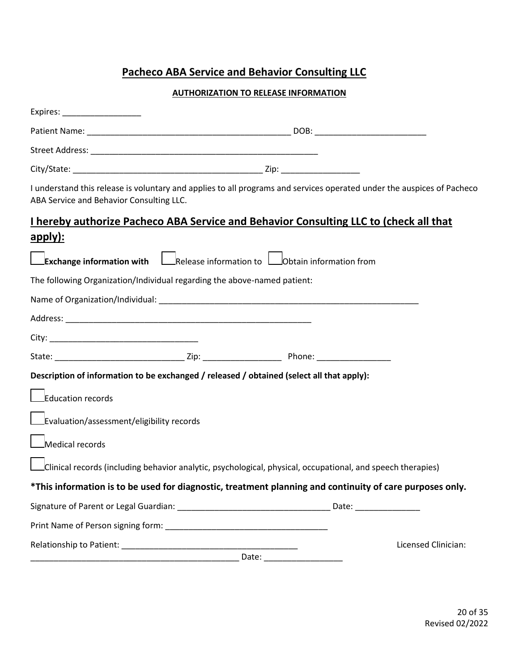# **Pacheco ABA Service and Behavior Consulting LLC**

#### **AUTHORIZATION TO RELEASE INFORMATION**

| ABA Service and Behavior Consulting LLC.                                                                    |  | I understand this release is voluntary and applies to all programs and services operated under the auspices of Pacheco |
|-------------------------------------------------------------------------------------------------------------|--|------------------------------------------------------------------------------------------------------------------------|
| I hereby authorize Pacheco ABA Service and Behavior Consulting LLC to (check all that                       |  |                                                                                                                        |
| apply):                                                                                                     |  |                                                                                                                        |
| <b>Exchange information with</b> Release information to <b>Cology</b> Obtain information from               |  |                                                                                                                        |
| The following Organization/Individual regarding the above-named patient:                                    |  |                                                                                                                        |
|                                                                                                             |  |                                                                                                                        |
|                                                                                                             |  |                                                                                                                        |
|                                                                                                             |  |                                                                                                                        |
|                                                                                                             |  |                                                                                                                        |
| Description of information to be exchanged / released / obtained (select all that apply):                   |  |                                                                                                                        |
| Education records                                                                                           |  |                                                                                                                        |
| Evaluation/assessment/eligibility records                                                                   |  |                                                                                                                        |
| $\Box$ Medical records                                                                                      |  |                                                                                                                        |
| Clinical records (including behavior analytic, psychological, physical, occupational, and speech therapies) |  |                                                                                                                        |
| *This information is to be used for diagnostic, treatment planning and continuity of care purposes only.    |  |                                                                                                                        |
|                                                                                                             |  |                                                                                                                        |
|                                                                                                             |  |                                                                                                                        |
|                                                                                                             |  | Licensed Clinician:                                                                                                    |
|                                                                                                             |  |                                                                                                                        |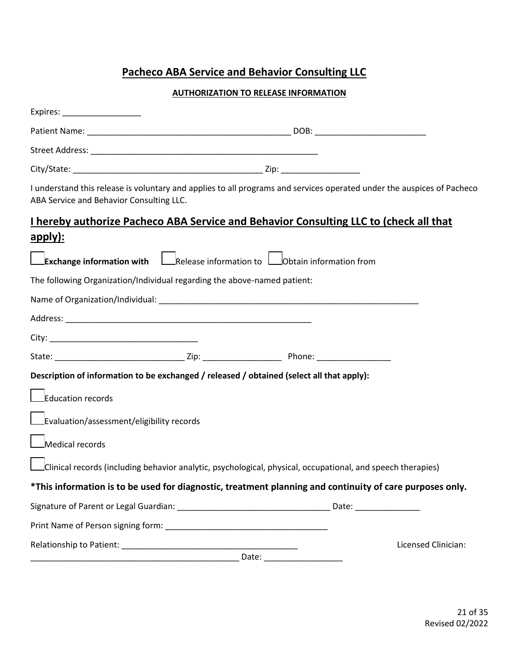# **Pacheco ABA Service and Behavior Consulting LLC**

#### **AUTHORIZATION TO RELEASE INFORMATION**

| ABA Service and Behavior Consulting LLC.                                 | I understand this release is voluntary and applies to all programs and services operated under the auspices of Pacheco |                     |
|--------------------------------------------------------------------------|------------------------------------------------------------------------------------------------------------------------|---------------------|
|                                                                          | I hereby authorize Pacheco ABA Service and Behavior Consulting LLC to (check all that                                  |                     |
| apply):                                                                  |                                                                                                                        |                     |
|                                                                          | Exchange information with Release information to Dobtain information from                                              |                     |
| The following Organization/Individual regarding the above-named patient: |                                                                                                                        |                     |
|                                                                          |                                                                                                                        |                     |
|                                                                          |                                                                                                                        |                     |
|                                                                          |                                                                                                                        |                     |
|                                                                          |                                                                                                                        |                     |
|                                                                          | Description of information to be exchanged / released / obtained (select all that apply):                              |                     |
| Education records                                                        |                                                                                                                        |                     |
| Evaluation/assessment/eligibility records                                |                                                                                                                        |                     |
| $\Box$ Medical records                                                   |                                                                                                                        |                     |
|                                                                          | Clinical records (including behavior analytic, psychological, physical, occupational, and speech therapies)            |                     |
|                                                                          | *This information is to be used for diagnostic, treatment planning and continuity of care purposes only.               |                     |
|                                                                          |                                                                                                                        |                     |
|                                                                          |                                                                                                                        |                     |
|                                                                          |                                                                                                                        | Licensed Clinician: |
|                                                                          |                                                                                                                        |                     |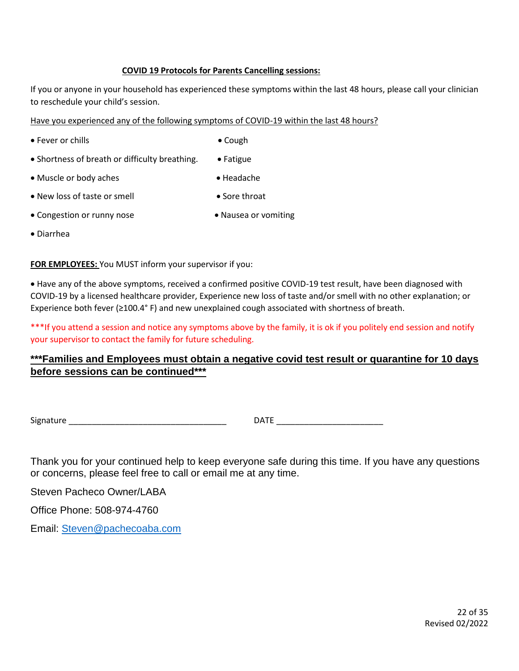#### **COVID 19 Protocols for Parents Cancelling sessions:**

If you or anyone in your household has experienced these symptoms within the last 48 hours, please call your clinician to reschedule your child's session.

Have you experienced any of the following symptoms of COVID-19 within the last 48 hours?

- Fever or chills Cough
- 
- Shortness of breath or difficulty breathing. Fatigue
- Muscle or body aches Headache
- 
- New loss of taste or smell Sore throat
- Congestion or runny nose Nausea or vomiting
- 

• Diarrhea

**FOR EMPLOYEES:** You MUST inform your supervisor if you:

• Have any of the above symptoms, received a confirmed positive COVID-19 test result, have been diagnosed with COVID-19 by a licensed healthcare provider, Experience new loss of taste and/or smell with no other explanation; or Experience both fever (≥100.4° F) and new unexplained cough associated with shortness of breath.

\*\*\*If you attend a session and notice any symptoms above by the family, it is ok if you politely end session and notify your supervisor to contact the family for future scheduling.

#### **\*\*\*Families and Employees must obtain a negative covid test result or quarantine for 10 days before sessions can be continued\*\*\***

Signature **Example 20** and the set of the set of the DATE  $\Box$ 

Thank you for your continued help to keep everyone safe during this time. If you have any questions or concerns, please feel free to call or email me at any time.

Steven Pacheco Owner/LABA

Office Phone: 508-974-4760

Email: [Steven@pachecoaba.com](mailto:Steven@pachecoaba.com)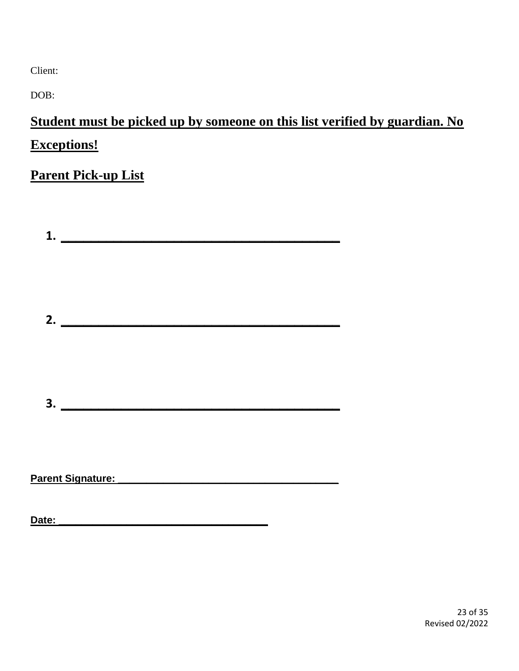Client:

DOB:

**Student must be picked up by someone on this list verified by guardian. No Exceptions!**

# **Parent Pick-up List**

| $1.$ $\qquad \qquad$                        |  |  |
|---------------------------------------------|--|--|
|                                             |  |  |
| $\overline{\mathbf{3.}}$                    |  |  |
| Parent Signature: National Parent Signature |  |  |

**Date: \_\_\_\_\_\_\_\_\_\_\_\_\_\_\_\_\_\_\_\_\_\_\_\_\_\_\_\_\_\_\_\_\_\_\_\_\_**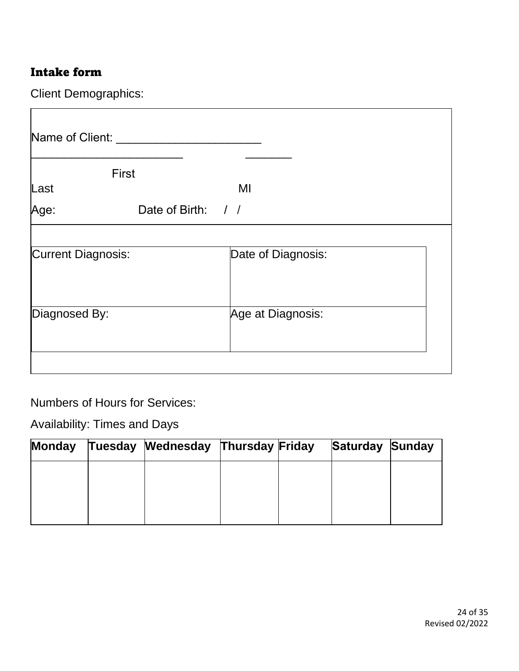# Intake form

Client Demographics:

|                           | <b>First</b>       |                    |  |
|---------------------------|--------------------|--------------------|--|
| Last                      |                    | MI                 |  |
| Age:                      | Date of Birth: / / |                    |  |
| <b>Current Diagnosis:</b> |                    | Date of Diagnosis: |  |
| Diagnosed By:             |                    | Age at Diagnosis:  |  |

Numbers of Hours for Services:

Availability: Times and Days

| Monday | Tuesday Wednesday Thursday Friday |  | <b>Saturday Sunday</b> |  |
|--------|-----------------------------------|--|------------------------|--|
|        |                                   |  |                        |  |
|        |                                   |  |                        |  |
|        |                                   |  |                        |  |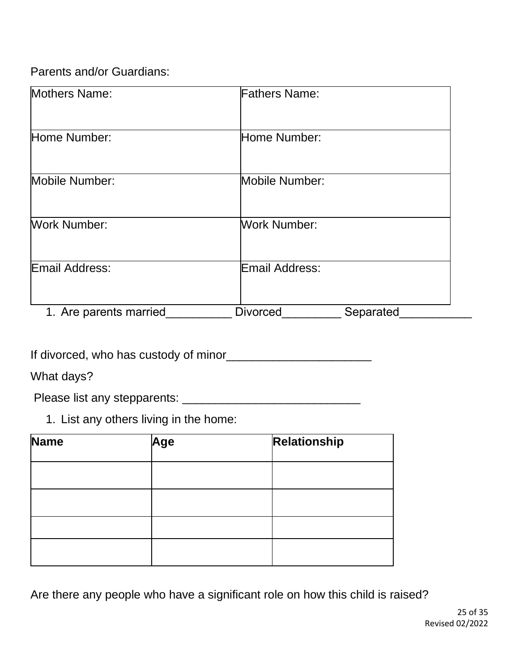Parents and/or Guardians:

| Mothers Name:          | <b>Fathers Name:</b>         |  |
|------------------------|------------------------------|--|
| Home Number:           | Home Number:                 |  |
| Mobile Number:         | Mobile Number:               |  |
| <b>Work Number:</b>    | Work Number:                 |  |
| Email Address:         | Email Address:               |  |
| 1. Are parents married | <b>Divorced</b><br>Separated |  |

If divorced, who has custody of minor<br>
<u>[</u>[11]  $\frac{1}{2}$   $\frac{1}{2}$   $\frac{1}{2}$   $\frac{1}{2}$   $\frac{1}{2}$   $\frac{1}{2}$   $\frac{1}{2}$   $\frac{1}{2}$   $\frac{1}{2}$   $\frac{1}{2}$   $\frac{1}{2}$   $\frac{1}{2}$   $\frac{1}{2}$   $\frac{1}{2}$   $\frac{1}{2}$   $\frac{1}{2}$   $\frac{1}{2}$   $\frac{1$ 

What days?

Please list any stepparents: \_\_\_\_\_\_\_\_\_\_\_\_\_\_\_\_\_\_\_\_\_\_\_\_\_\_\_

1. List any others living in the home:

| Name | Age | Relationship |
|------|-----|--------------|
|      |     |              |
|      |     |              |
|      |     |              |
|      |     |              |

Are there any people who have a significant role on how this child is raised?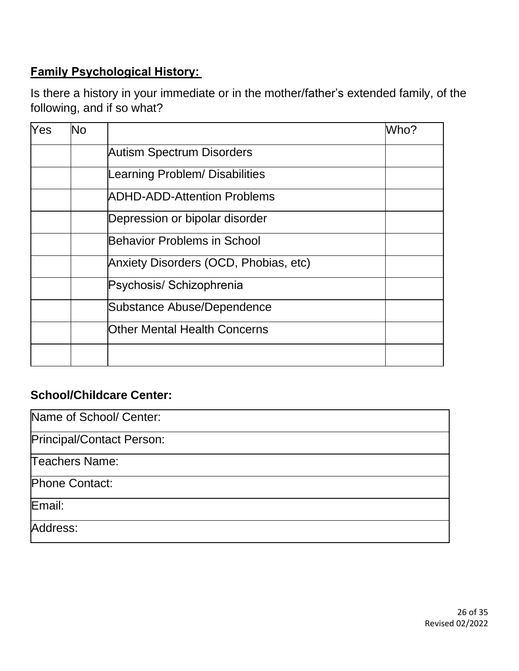# **Family Psychological History:**

Is there a history in your immediate or in the mother/father's extended family, of the following, and if so what?

| <b>Autism Spectrum Disorders</b><br>Learning Problem/ Disabilities<br><b>ADHD-ADD-Attention Problems</b> |  |
|----------------------------------------------------------------------------------------------------------|--|
|                                                                                                          |  |
|                                                                                                          |  |
|                                                                                                          |  |
| Depression or bipolar disorder                                                                           |  |
| Behavior Problems in School                                                                              |  |
| Anxiety Disorders (OCD, Phobias, etc)                                                                    |  |
| Psychosis/ Schizophrenia                                                                                 |  |
| Substance Abuse/Dependence                                                                               |  |
| <b>Other Mental Health Concerns</b>                                                                      |  |
|                                                                                                          |  |
|                                                                                                          |  |

# **School/Childcare Center:**

| Name of School/ Center:   |
|---------------------------|
| Principal/Contact Person: |
| Teachers Name:            |
| Phone Contact:            |
| Email:                    |
| Address:                  |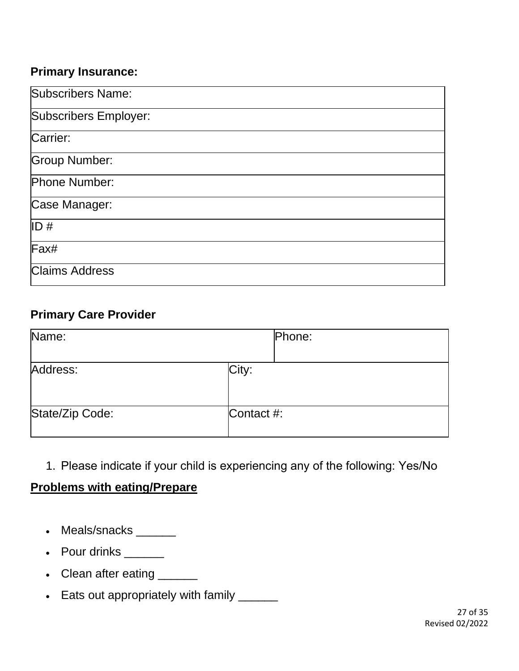# **Primary Insurance:**

| Subscribers Name:     |
|-----------------------|
| Subscribers Employer: |
| Carrier:              |
| <b>Group Number:</b>  |
| Phone Number:         |
| Case Manager:         |
| ID#                   |
| Fax#                  |
| <b>Claims Address</b> |

# **Primary Care Provider**

| Name:           |            | Phone: |
|-----------------|------------|--------|
| Address:        | City:      |        |
| State/Zip Code: | Contact #: |        |

1. Please indicate if your child is experiencing any of the following: Yes/No 

# **Problems with eating/Prepare**

- Meals/snacks
- Pour drinks \_\_\_\_\_\_
- Clean after eating \_\_\_\_\_\_
- Eats out appropriately with family \_\_\_\_\_\_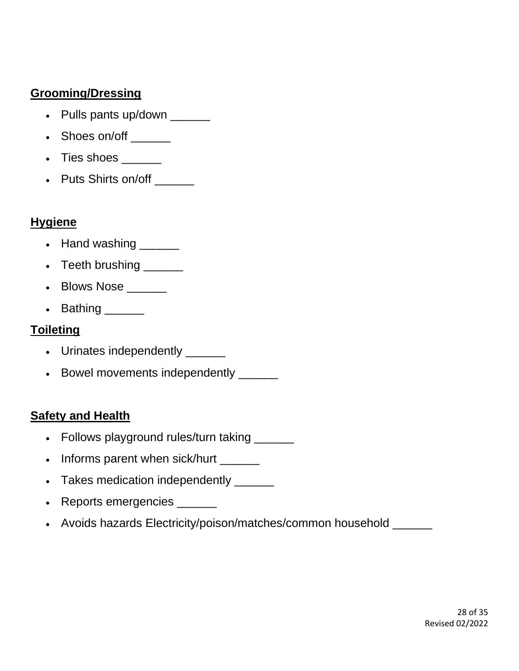# **Grooming/Dressing**

- Pulls pants up/down \_\_\_\_\_\_
- Shoes on/off \_\_\_\_\_\_
- Ties shoes
- Puts Shirts on/off

### **Hygiene**

- Hand washing \_\_\_\_\_\_
- Teeth brushing \_\_\_\_\_\_
- Blows Nose
- Bathing

### **Toileting**

- Urinates independently \_\_\_\_\_\_
- Bowel movements independently \_\_\_\_\_\_

### **Safety and Health**

- Follows playground rules/turn taking
- Informs parent when sick/hurt
- Takes medication independently \_\_\_\_\_\_
- Reports emergencies \_\_\_\_\_\_
- Avoids hazards Electricity/poison/matches/common household \_\_\_\_\_\_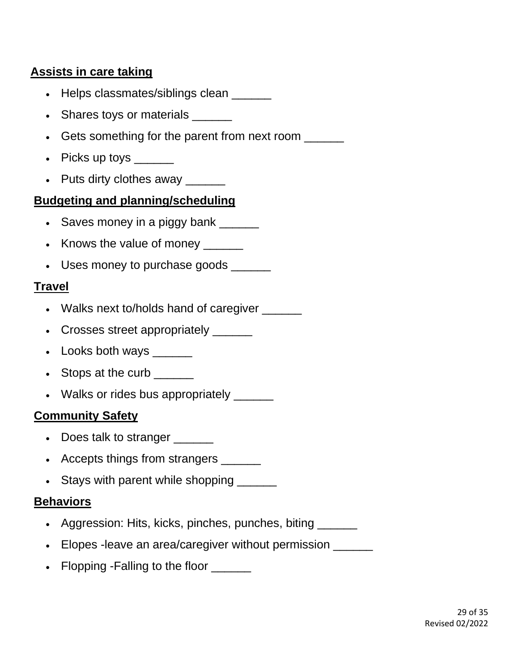# **Assists in care taking**

- Helps classmates/siblings clean \_\_\_\_\_\_
- Shares toys or materials \_\_\_\_\_\_
- Gets something for the parent from next room \_\_\_\_\_\_
- Picks up toys \_\_\_\_\_\_
- Puts dirty clothes away \_\_\_\_\_\_

### **Budgeting and planning/scheduling**

- Saves money in a piggy bank \_\_\_\_\_\_
- Knows the value of money \_\_\_\_\_\_
- Uses money to purchase goods

# **Travel**

- Walks next to/holds hand of caregiver
- Crosses street appropriately \_\_\_\_\_\_
- Looks both ways  $\frac{1}{\sqrt{1-\frac{1}{n}}}\$
- Stops at the curb \_\_\_\_\_\_
- Walks or rides bus appropriately \_\_\_\_\_\_

# **Community Safety**

- Does talk to stranger
- Accepts things from strangers
- Stays with parent while shopping \_\_\_\_\_\_

### **Behaviors**

- Aggression: Hits, kicks, pinches, punches, biting \_\_\_\_\_\_
- Elopes -leave an area/caregiver without permission \_\_\_\_\_\_
- Flopping -Falling to the floor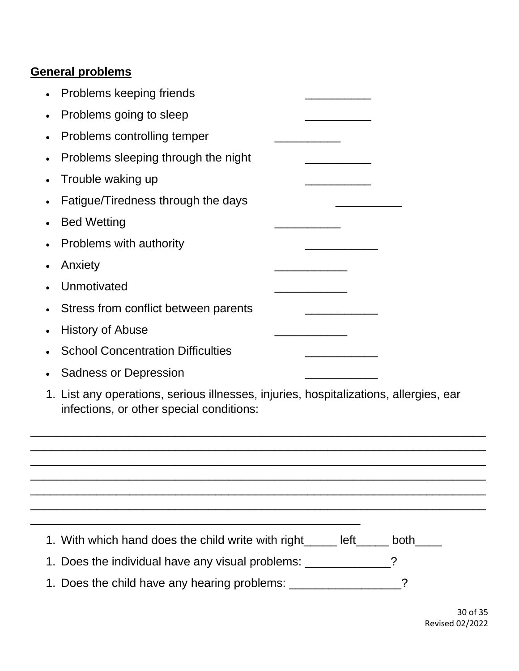# **General problems**

| Problems keeping friends                                                                                                          |
|-----------------------------------------------------------------------------------------------------------------------------------|
| Problems going to sleep<br>$\bullet$                                                                                              |
| Problems controlling temper<br>$\bullet$                                                                                          |
| Problems sleeping through the night<br>$\bullet$                                                                                  |
| Trouble waking up<br>$\bullet$                                                                                                    |
| Fatigue/Tiredness through the days<br>$\bullet$                                                                                   |
| <b>Bed Wetting</b><br>$\bullet$                                                                                                   |
| Problems with authority<br>$\bullet$                                                                                              |
| Anxiety                                                                                                                           |
| Unmotivated                                                                                                                       |
| Stress from conflict between parents                                                                                              |
| <b>History of Abuse</b><br>$\bullet$                                                                                              |
| <b>School Concentration Difficulties</b>                                                                                          |
| <b>Sadness or Depression</b>                                                                                                      |
| 1. List any operations, serious illnesses, injuries, hospitalizations, allergies, ear<br>infections, or other special conditions: |
|                                                                                                                                   |
|                                                                                                                                   |
|                                                                                                                                   |
|                                                                                                                                   |
| 1. With which hand does the child write with right______ left_____ both____                                                       |
| 1. Does the individual have any visual problems: _______________                                                                  |
|                                                                                                                                   |

1. Does the child have any hearing problems: \_\_\_\_\_\_\_\_\_\_\_\_\_\_\_\_\_?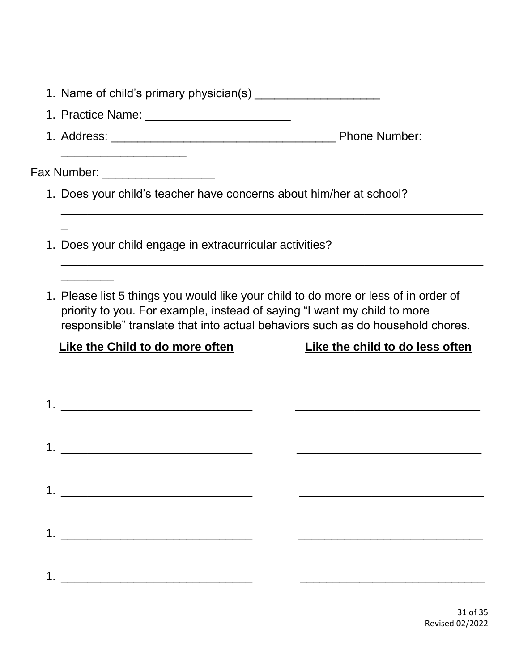| Fax Number: ____________________                                                                                                                                                                                                                  |                                 |
|---------------------------------------------------------------------------------------------------------------------------------------------------------------------------------------------------------------------------------------------------|---------------------------------|
| 1. Does your child's teacher have concerns about him/her at school?                                                                                                                                                                               |                                 |
|                                                                                                                                                                                                                                                   |                                 |
| 1. Does your child engage in extracurricular activities?                                                                                                                                                                                          |                                 |
|                                                                                                                                                                                                                                                   |                                 |
| 1. Please list 5 things you would like your child to do more or less of in order of<br>priority to you. For example, instead of saying "I want my child to more<br>responsible" translate that into actual behaviors such as do household chores. |                                 |
| <b>Like the Child to do more often</b>                                                                                                                                                                                                            | Like the child to do less often |
|                                                                                                                                                                                                                                                   |                                 |
|                                                                                                                                                                                                                                                   |                                 |
|                                                                                                                                                                                                                                                   |                                 |
|                                                                                                                                                                                                                                                   |                                 |
|                                                                                                                                                                                                                                                   |                                 |
|                                                                                                                                                                                                                                                   |                                 |
|                                                                                                                                                                                                                                                   |                                 |
|                                                                                                                                                                                                                                                   |                                 |
|                                                                                                                                                                                                                                                   |                                 |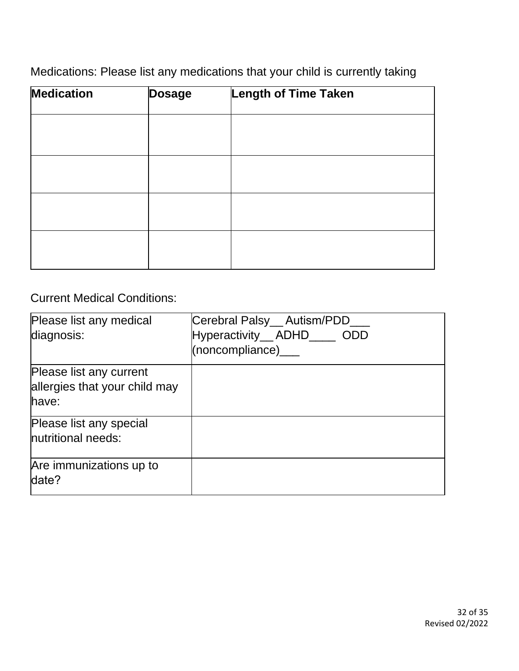Medications: Please list any medications that your child is currently taking

| <b>Medication</b> | <b>Dosage</b> | <b>Length of Time Taken</b> |  |
|-------------------|---------------|-----------------------------|--|
|                   |               |                             |  |
|                   |               |                             |  |
|                   |               |                             |  |
|                   |               |                             |  |
|                   |               |                             |  |

Current Medical Conditions:

| Please list any medical<br>diagnosis:                             | Cerebral Palsy_ Autism/PDD<br>Hyperactivity_ ADHD____ ODD<br>(noncompliance) |
|-------------------------------------------------------------------|------------------------------------------------------------------------------|
| Please list any current<br>allergies that your child may<br>have: |                                                                              |
| Please list any special<br>nutritional needs:                     |                                                                              |
| Are immunizations up to<br>date?                                  |                                                                              |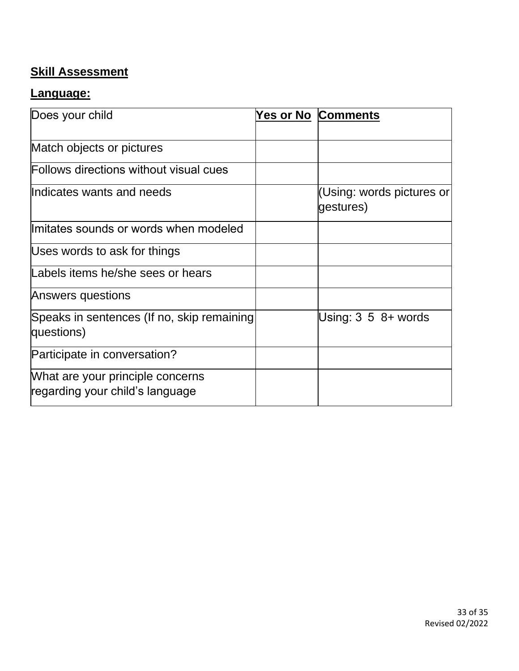# **Skill Assessment**

### **Language:**

| Does your child                                                     | <b>Yes or No Comments</b>              |
|---------------------------------------------------------------------|----------------------------------------|
|                                                                     |                                        |
| Match objects or pictures                                           |                                        |
| Follows directions without visual cues                              |                                        |
| Indicates wants and needs                                           | (Using: words pictures or<br>gestures) |
| llmitates sounds or words when modeled                              |                                        |
| Uses words to ask for things                                        |                                        |
| Labels items he/she sees or hears                                   |                                        |
| Answers questions                                                   |                                        |
| Speaks in sentences (If no, skip remaining<br>questions)            | Using: $3\,5\,8+$ words                |
| Participate in conversation?                                        |                                        |
| What are your principle concerns<br>regarding your child's language |                                        |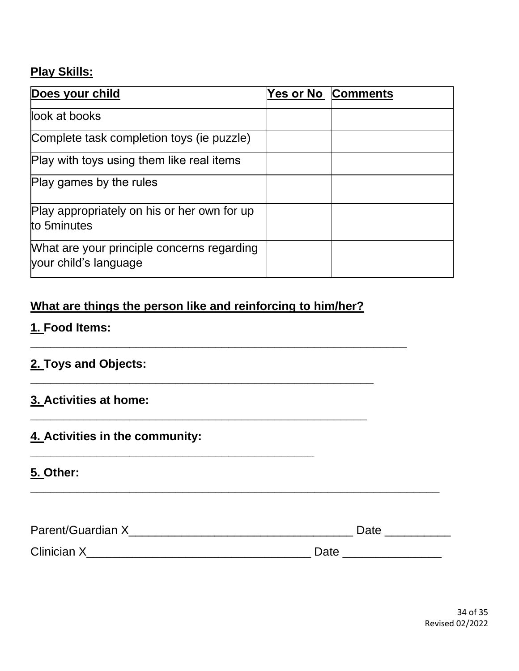# **Play Skills:**

| Does your child                                                     | Yes or No Comments |
|---------------------------------------------------------------------|--------------------|
| look at books                                                       |                    |
| Complete task completion toys (ie puzzle)                           |                    |
| Play with toys using them like real items                           |                    |
| Play games by the rules                                             |                    |
| Play appropriately on his or her own for up<br>to 5minutes          |                    |
| What are your principle concerns regarding<br>your child's language |                    |

# **What are things the person like and reinforcing to him/her?**

**\_\_\_\_\_\_\_\_\_\_\_\_\_\_\_\_\_\_\_\_\_\_\_\_\_\_\_\_\_\_\_\_\_\_\_\_\_\_\_\_\_\_\_\_\_\_\_\_\_\_\_**

**\_\_\_\_\_\_\_\_\_\_\_\_\_\_\_\_\_\_\_\_\_\_\_\_\_\_\_\_\_\_\_\_\_\_\_\_\_\_\_\_\_\_\_**

**\_\_\_\_\_\_\_\_\_\_\_\_\_\_\_\_\_\_\_\_\_\_\_\_\_\_\_\_\_\_\_\_\_\_\_\_\_\_\_\_\_\_\_\_\_\_\_\_\_\_\_\_\_\_\_\_\_**

**\_\_\_\_\_\_\_\_\_\_\_\_\_\_\_\_\_\_\_\_\_\_\_\_\_\_\_\_\_\_\_\_\_\_\_\_\_\_\_\_\_\_\_\_\_\_\_\_\_\_\_\_**

# **1. Food Items:**

# **2. Toys and Objects:**

# **3. Activities at home:**

# **4. Activities in the community:**

# **5. Other:**

| Parent/Guardian X  | Date |
|--------------------|------|
| <b>Clinician X</b> | Date |

**\_\_\_\_\_\_\_\_\_\_\_\_\_\_\_\_\_\_\_\_\_\_\_\_\_\_\_\_\_\_\_\_\_\_\_\_\_\_\_\_\_\_\_\_\_\_\_\_\_\_\_\_\_\_\_\_\_\_\_\_\_\_**